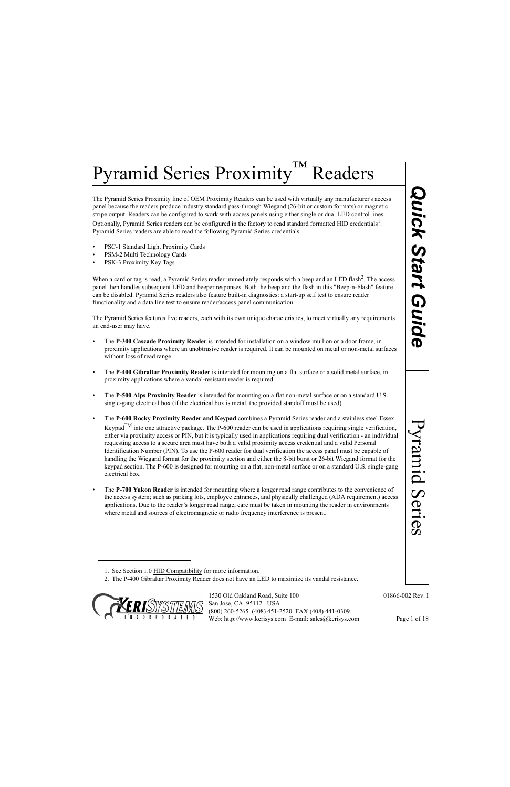The Pyramid Series Proximity line of OEM Proximity Readers can be used with virtually any manufacturer's access panel because the readers produce industry standard pass-through Wiegand (26-bit or custom formats) or magnetic stripe output. Readers can be configured to work with access panels using either single or dual LED control lines. Optionally, Pyramid Series readers can be configured in the factory to read standard formatted HID credentials<sup>1</sup>. Pyramid Series readers are able to read the following Pyramid Series credentials.

- PSC-1 Standard Light Proximity Cards
- PSM-2 Multi Technology Cards
- PSK-3 Proximity Key Tags

When a card or tag is read, a Pyramid Series reader immediately responds with a beep and an LED flash<sup>2</sup>. The access panel then handles subsequent LED and beeper responses. Both the beep and the flash in this "Beep-n-Flash" feature can be disabled. Pyramid Series readers also feature built-in diagnostics: a start-up self test to ensure reader functionality and a data line test to ensure reader/access panel communication.

The Pyramid Series features five readers, each with its own unique characteristics, to meet virtually any requirements an end-user may have.

- The **P-300 Cascade Proximity Reader** is intended for installation on a window mullion or a door frame, in proximity applications where an unobtrusive reader is required. It can be mounted on metal or non-metal surfaces without loss of read range.
- The **P-400 Gibraltar Proximity Reader** is intended for mounting on a flat surface or a solid metal surface, in proximity applications where a vandal-resistant reader is required.
- The **P-500 Alps Proximity Reader** is intended for mounting on a flat non-metal surface or on a standard U.S. single-gang electrical box (if the electrical box is metal, the provided standoff must be used).
- Proximity Renders can be used with virtually any manufacturer's access<br>
anadier passe-through Wegand (Ze-hit or extens from formatis)<br>
or discusses panels using either single or dual LED control lines.<br>
Only this access pa • The **P-600 Rocky Proximity Reader and Keypad** combines a Pyramid Series reader and a stainless steel Essex Keypad<sup>TM</sup> into one attractive package. The P-600 reader can be used in applications requiring single verification, either via proximity access or PIN, but it is typically used in applications requiring dual verification - an individual requesting access to a secure area must have both a valid proximity access credential and a valid Personal Identification Number (PIN). To use the P-600 reader for dual verification the access panel must be capable of handling the Wiegand format for the proximity section and either the 8-bit burst or 26-bit Wiegand format for the keypad section. The P-600 is designed for mounting on a flat, non-metal surface or on a standard U.S. single-gang electrical box.
- The **P-700 Yukon Reader** is intended for mounting where a longer read range contributes to the convenience of the access system; such as parking lots, employee entrances, and physically challenged (ADA requirement) access applications. Due to the reader's longer read range, care must be taken in mounting the reader in environments where metal and sources of electromagnetic or radio frequency interference is present.

<sup>2.</sup> The P-400 Gibraltar Proximity Reader does not have an LED to maximize its vandal resistance.



<sup>1.</sup> See Section 1.0 HID Compatibility for more information.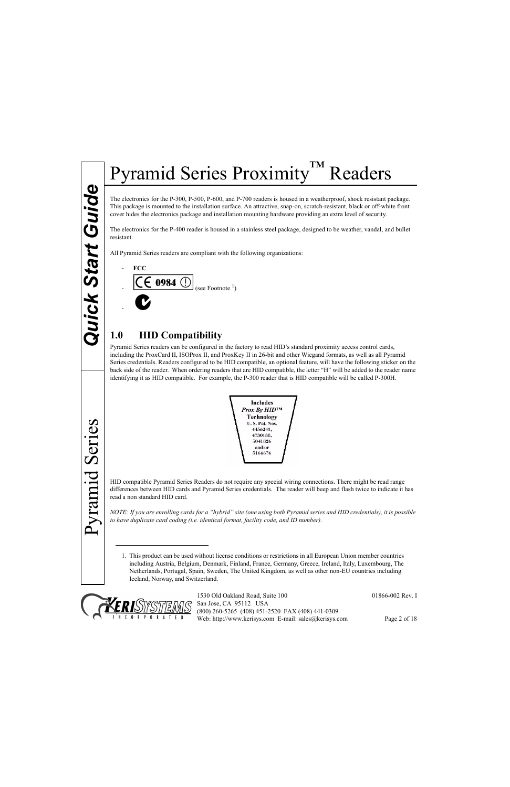Pyramid Series

Pyramid Series

## Pyramid Series Proximity™ Readers

The electronics for the P-300, P-500, P-600, and P-700 readers is housed in a weatherproof, shock resistant package. This package is mounted to the installation surface. An attractive, snap-on, scratch-resistant, black or off-white front cover hides the electronics package and installation mounting hardware providing an extra level of security.

The electronics for the P-400 reader is housed in a stainless steel package, designed to be weather, vandal, and bullet resistant.

All Pyramid Series readers are compliant with the following organizations:

**- FCC**



## **1.0 HID Compatibility**

Pyramid Series readers can be configured in the factory to read HID's standard proximity access control cards, including the ProxCard II, ISOProx II, and ProxKey II in 26-bit and other Wiegand formats, as well as all Pyramid Series credentials. Readers configured to be HID compatible, an optional feature, will have the following sticker on the back side of the reader. When ordering readers that are HID compatible, the letter "H" will be added to the reader name identifying it as HID compatible. For example, the P-300 reader that is HID compatible will be called P-300H.



HID compatible Pyramid Series Readers do not require any special wiring connections. There might be read range differences between HID cards and Pyramid Series credentials. The reader will beep and flash twice to indicate it has read a non standard HID card.

*NOTE: If you are enrolling cards for a "hybrid" site (one using both Pyramid series and HID credentials), it is possible to have duplicate card coding (i.e. identical format, facility code, and ID number).*

1. This product can be used without license conditions or restrictions in all European Union member countries including Austria, Belgium, Denmark, Finland, France, Germany, Greece, Ireland, Italy, Luxembourg, The Netherlands, Portugal, Spain, Sweden, The United Kingdom, as well as other non-EU countries including Iceland, Norway, and Switzerland.

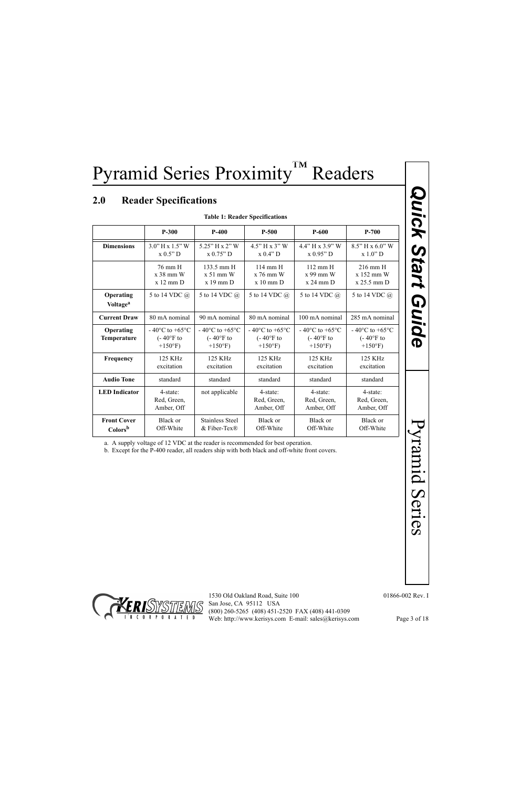## **2.0 Reader Specifications**

|                                         | <b>Table 1: Reader Specifications</b>                                                        |                                                                  |                                                                             |                                                                  |                                                                             |  |
|-----------------------------------------|----------------------------------------------------------------------------------------------|------------------------------------------------------------------|-----------------------------------------------------------------------------|------------------------------------------------------------------|-----------------------------------------------------------------------------|--|
|                                         | $P-300$                                                                                      | $P-400$                                                          | $P-500$                                                                     | $P-600$                                                          | $P-700$                                                                     |  |
| <b>Dimensions</b>                       | $3.0"$ H x $1.5"$ W<br>x 0.5" D                                                              | 5.25" H x 2" W<br>x 0.75" D                                      | 4.5" H x 3" W<br>x 0.4" D                                                   | $4.4$ " H x $3.9$ " W<br>x 0.95" D                               | 8.5" H x 6.0" W<br>x 1.0" D                                                 |  |
|                                         | 76 mm H<br>x 38 mm W<br>$x 12$ mm $D$                                                        | 133.5 mm H<br>$x 51$ mm W<br>$x 19$ mm $D$                       | 114 mm H<br>x 76 mm W<br>$x 10$ mm $D$                                      | $112$ mm $H$<br>x 99 mm W<br>$x 24$ mm $D$                       | 216 mm H<br>x 152 mm W<br>x 25.5 mm D                                       |  |
| Operating<br><b>Voltage<sup>a</sup></b> | 5 to 14 VDC @                                                                                | 5 to 14 VDC @                                                    | 5 to 14 VDC @                                                               | 5 to 14 VDC @                                                    | 5 to 14 VDC @                                                               |  |
| <b>Current Draw</b>                     | 80 mA nominal                                                                                | 90 mA nominal                                                    | 80 mA nominal                                                               | 100 mA nominal                                                   | 285 mA nominal                                                              |  |
| Operating<br>Temperature                | $-40^{\circ}$ C to $+65^{\circ}$ C<br>$(-40^{\circ}$ F to<br>$+150$ °F)                      | $-40^{\circ}$ C to $+65^{\circ}$ C<br>$(-40°F)$ to<br>$+150$ °F) | - 40 $\rm{^{\circ}C}$ to +65 $\rm{^{\circ}C}$<br>$(-40°F)$ to<br>$+150$ °F) | $-40^{\circ}$ C to $+65^{\circ}$ C<br>$(-40°F)$ to<br>$+150$ °F) | - 40 $\rm{^{\circ}C}$ to +65 $\rm{^{\circ}C}$<br>$(-40°F)$ to<br>$+150$ °F) |  |
| Frequency                               | 125 KHz<br>excitation                                                                        | 125 KHz<br>excitation                                            | 125 KHz<br>excitation                                                       | 125 KHz<br>excitation                                            | 125 KHz<br>excitation                                                       |  |
| <b>Audio Tone</b>                       | standard                                                                                     | standard                                                         | standard                                                                    | standard                                                         | standard                                                                    |  |
| <b>LED</b> Indicator                    | 4-state:<br>Red, Green,<br>Amber, Off                                                        | not applicable                                                   | 4-state:<br>Red, Green,<br>Amber, Off                                       | 4-state:<br>Red, Green,<br>Amber, Off                            | 4-state:<br>Red, Green,<br>Amber, Off                                       |  |
| <b>Front Cover</b><br>Colorsb           | Black or<br>Off-White                                                                        | <b>Stainless Steel</b><br>& Fiber-Tex®                           | Black or<br>Off-White                                                       | Black or<br>Off-White                                            | Black or<br>Off-White                                                       |  |
|                                         | b. Except for the P-400 reader, all readers ship with both black and off-white front covers. |                                                                  |                                                                             |                                                                  |                                                                             |  |

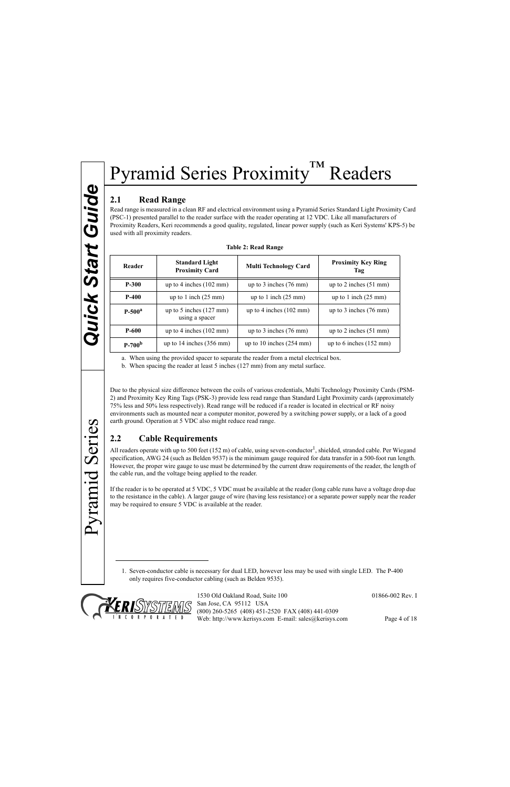#### <span id="page-3-0"></span>**2.1 Read Range**

Read range is measured in a clean RF and electrical environment using a Pyramid Series Standard Light Proximity Card (PSC-1) presented parallel to the reader surface with the reader operating at 12 VDC. Like all manufacturers of Proximity Readers, Keri recommends a good quality, regulated, linear power supply (such as Keri Systems' KPS-5) be used with all proximity readers.

| Reader             | <b>Standard Light</b><br><b>Proximity Card</b>      | <b>Multi Technology Card</b>       | <b>Proximity Key Ring</b><br>Tag  |
|--------------------|-----------------------------------------------------|------------------------------------|-----------------------------------|
| <b>P-300</b>       | up to 4 inches $(102 \text{ mm})$                   | up to 3 inches $(76 \text{ mm})$   | up to 2 inches $(51 \text{ mm})$  |
| $P-400$            | up to 1 inch $(25 \text{ mm})$                      | up to 1 inch $(25 \text{ mm})$     | up to 1 inch $(25 \text{ mm})$    |
| P-500 <sup>a</sup> | up to 5 inches $(127 \text{ mm})$<br>using a spacer | up to 4 inches $(102 \text{ mm})$  | up to 3 inches $(76 \text{ mm})$  |
| <b>P-600</b>       | up to 4 inches $(102 \text{ mm})$                   | up to 3 inches $(76 \text{ mm})$   | up to 2 inches $(51 \text{ mm})$  |
| $P-700b$           | up to $14$ inches $(356$ mm)                        | up to 10 inches $(254 \text{ mm})$ | up to 6 inches $(152 \text{ mm})$ |

a. When using the provided spacer to separate the reader from a metal electrical box.

b. When spacing the reader at least 5 inches (127 mm) from any metal surface.

Due to the physical size difference between the coils of various credentials, Multi Technology Proximity Cards (PSM-2) and Proximity Key Ring Tags (PSK-3) provide less read range than Standard Light Proximity cards (approximately 75% less and 50% less respectively). Read range will be reduced if a reader is located in electrical or RF noisy environments such as mounted near a computer monitor, powered by a switching power supply, or a lack of a good earth ground. Operation at 5 VDC also might reduce read range.

#### **2.2 Cable Requirements**

All readers operate with up to 500 feet (152 m) of cable, using seven-conductor<sup>1</sup>, shielded, stranded cable. Per Wiegand specification, AWG 24 (such as Belden 9537) is the minimum gauge required for data transfer in a 500-foot run length. However, the proper wire gauge to use must be determined by the current draw requirements of the reader, the length of the cable run, and the voltage being applied to the reader.

If the reader is to be operated at 5 VDC, 5 VDC must be available at the reader (long cable runs have a voltage drop due to the resistance in the cable). A larger gauge of wire (having less resistance) or a separate power supply near the reader may be required to ensure 5 VDC is available at the reader.

1. Seven-conductor cable is necessary for dual LED, however less may be used with single LED. The P-400 only requires five-conductor cabling (such as Belden 9535).



1530 Old Oakland Road, Suite 100 01866-002 Rev. I San Jose, CA 95112 USA (800) 260-5265 (408) 451-2520 FAX (408) 441-0309 Web: http://www.kerisys.com E-mail: sales@kerisys.com Page 4 of 18

Pyramid Series

Pyramid Series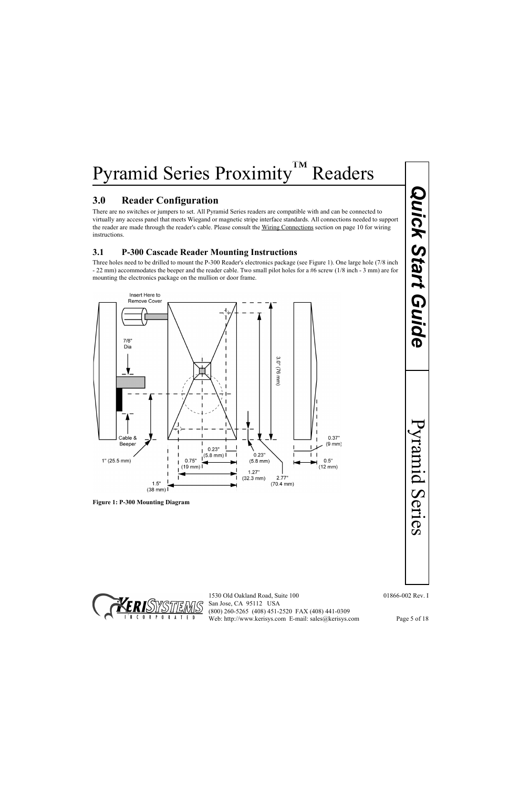#### **3.0 Reader Configuration**

There are no switches or jumpers to set. All Pyramid Series readers are compatible with and can be connected to virtually any access panel that meets Wiegand or magnetic stripe interface standards. All connections needed to support the reader are made through the reader's cable. Please consult the Wiring Connections section on [page 10](#page-9-0) for wiring instructions.

#### **3.1 P-300 Cascade Reader Mounting Instructions**

Three holes need to be drilled to mount the P-300 Reader's electronics package (see [Figure 1\)](#page-4-0). One large hole (7/8 inch - 22 mm) accommodates the beeper and the reader cable. Two small pilot holes for a #6 screw (1/8 inch - 3 mm) are for mounting the electronics package on the mullion or door frame.



<span id="page-4-0"></span>**Figure 1: P-300 Mounting Diagram**

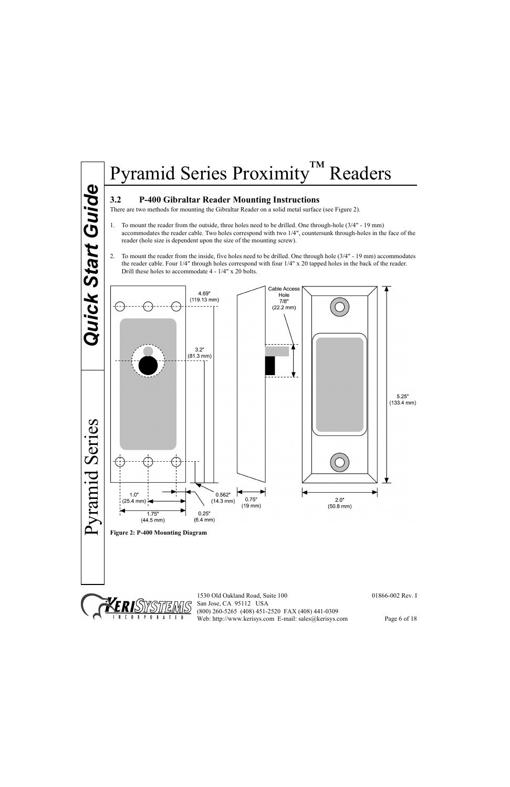#### **3.2 P-400 Gibraltar Reader Mounting Instructions**

There are two methods for mounting the Gibraltar Reader on a solid metal surface (see [Figure 2](#page-5-0)).

- 1. To mount the reader from the outside, three holes need to be drilled. One through-hole (3/4" 19 mm) accommodates the reader cable. Two holes correspond with two 1/4", countersunk through-holes in the face of the reader (hole size is dependent upon the size of the mounting screw).
- 2. To mount the reader from the inside, five holes need to be drilled. One through hole (3/4" 19 mm) accommodates the reader cable. Four 1/4" through holes correspond with four 1/4" x 20 tapped holes in the back of the reader. Drill these holes to accommodate 4 - 1/4" x 20 bolts.



<span id="page-5-0"></span>

1530 Old Oakland Road, Suite 100 01866-002 Rev. I San Jose, CA 95112 USA (800) 260-5265 (408) 451-2520 FAX (408) 441-0309 Web: http://www.kerisys.com E-mail: sales@kerisys.com Page 6 of 18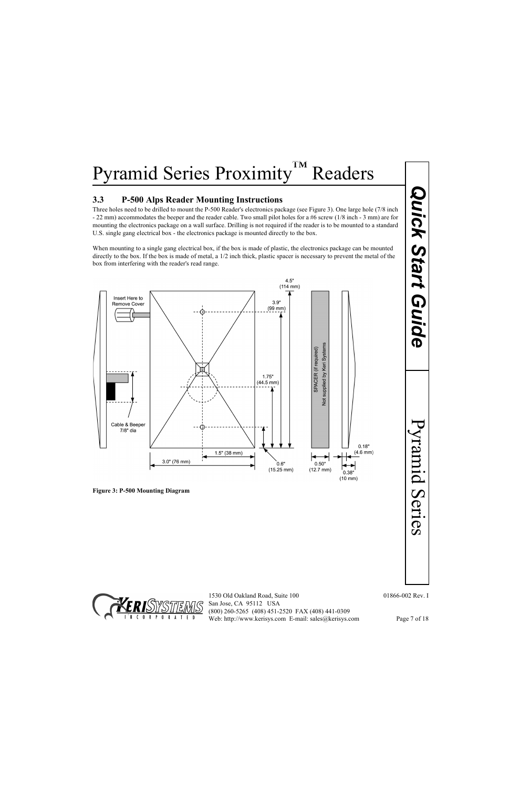#### **3.3 P-500 Alps Reader Mounting Instructions**

Three holes need to be drilled to mount the P-500 Reader's electronics package (see [Figure 3\)](#page-6-0). One large hole (7/8 inch - 22 mm) accommodates the beeper and the reader cable. Two small pilot holes for a #6 screw (1/8 inch - 3 mm) are for mounting the electronics package on a wall surface. Drilling is not required if the reader is to be mounted to a standard U.S. single gang electrical box - the electronics package is mounted directly to the box.

When mounting to a single gang electrical box, if the box is made of plastic, the electronics package can be mounted directly to the box. If the box is made of metal, a 1/2 inch thick, plastic spacer is necessary to prevent the metal of the box from interfering with the reader's read range.



<span id="page-6-0"></span>**Figure 3: P-500 Mounting Diagram**



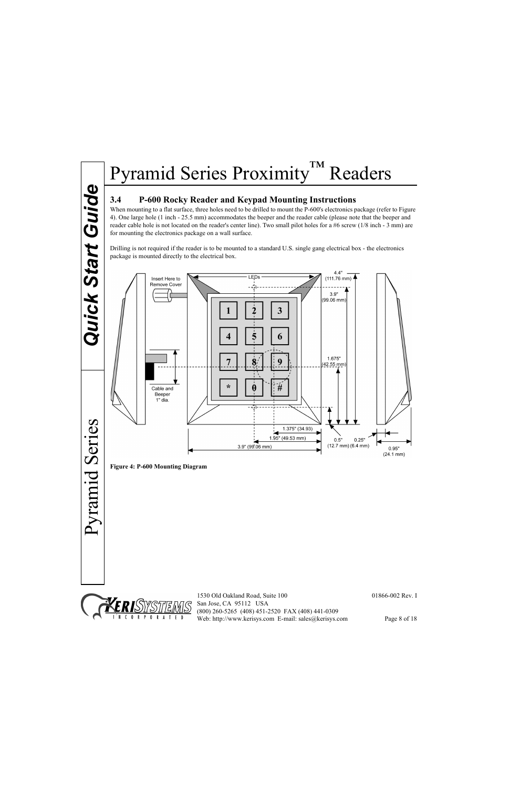# Quick Start Guide *Quick Start Guide*

#### **3.4 P-600 Rocky Reader and Keypad Mounting Instructions**

When mounting to a flat surface, three holes need to be drilled to mount the P-600's electronics package (refer to [Figure](#page-7-0)  [4\)](#page-7-0). One large hole (1 inch - 25.5 mm) accommodates the beeper and the reader cable (please note that the beeper and reader cable hole is not located on the reader's center line). Two small pilot holes for a #6 screw (1/8 inch - 3 mm) are for mounting the electronics package on a wall surface.

Drilling is not required if the reader is to be mounted to a standard U.S. single gang electrical box - the electronics package is mounted directly to the electrical box.



<span id="page-7-0"></span>**Figure 4: P-600 Mounting Diagram**

Pyramid Series



1530 Old Oakland Road, Suite 100 01866-002 Rev. I San Jose, CA 95112 USA (800) 260-5265 (408) 451-2520 FAX (408) 441-0309 Web: http://www.kerisys.com E-mail: sales@kerisys.com Page 8 of 18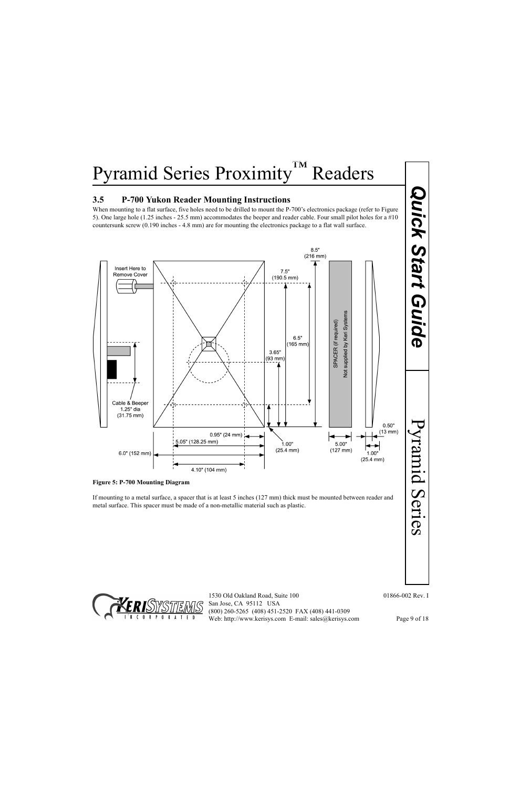#### **3.5 P-700 Yukon Reader Mounting Instructions**

When mounting to a flat surface, five holes need to be drilled to mount the P-700's electronics package (refer to Figure [5\)](#page-8-0). One large hole (1.25 inches - 25.5 mm) accommodates the beeper and reader cable. Four small pilot holes for a #10 countersunk screw (0.190 inches - 4.8 mm) are for mounting the electronics package to a flat wall surface.



<span id="page-8-0"></span>

If mounting to a metal surface, a spacer that is at least 5 inches (127 mm) thick must be mounted between reader and metal surface. This spacer must be made of a non-metallic material such as plastic.

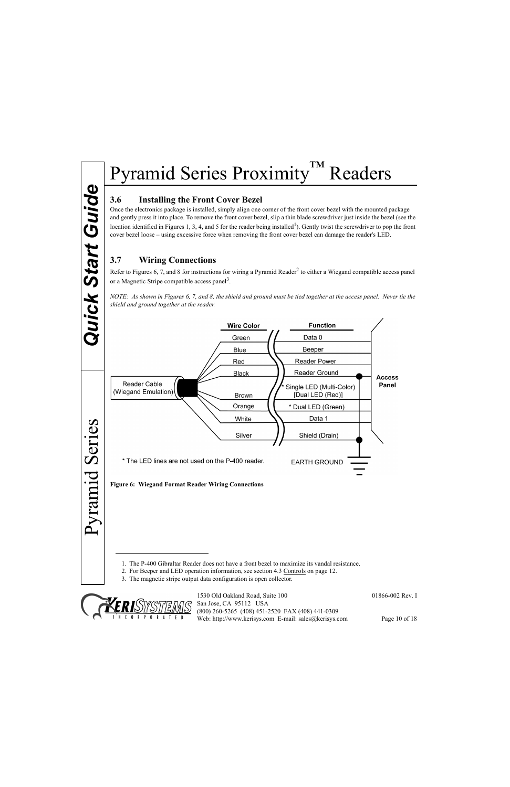#### **3.6 Installing the Front Cover Bezel**

Once the electronics package is installed, simply align one corner of the front cover bezel with the mounted package and gently press it into place. To remove the front cover bezel, slip a thin blade screwdriver just inside the bezel (see the location identified in Figures 1, 3, 4, and 5 for the reader being installed<sup>1</sup>). Gently twist the screwdriver to pop the front cover bezel loose – using excessive force when removing the front cover bezel can damage the reader's LED.

#### <span id="page-9-0"></span>**3.7 Wiring Connections**

Refer to Figures 6, 7, and 8 for instructions for wiring a Pyramid Reader<sup>2</sup> to either a Wiegand compatible access panel or a Magnetic Stripe compatible access panel<sup>3</sup>.

*NOTE: As shown in Figures 6, 7, and 8, the shield and ground must be tied together at the access panel. Never tie the shield and ground together at the reader.*



<sup>1.</sup> The P-400 Gibraltar Reader does not have a front bezel to maximize its vandal resistance.

<sup>3.</sup> The magnetic stripe output data configuration is open collector.



1530 Old Oakland Road, Suite 100 01866-002 Rev. I San Jose, CA 95112 USA (800) 260-5265 (408) 451-2520 FAX (408) 441-0309 Web: http://www.kerisys.com E-mail: sales@kerisys.com Page 10 of 18

<sup>2.</sup> For Beeper and LED operation information, see section 4.3 Controls on [page 12](#page-11-0).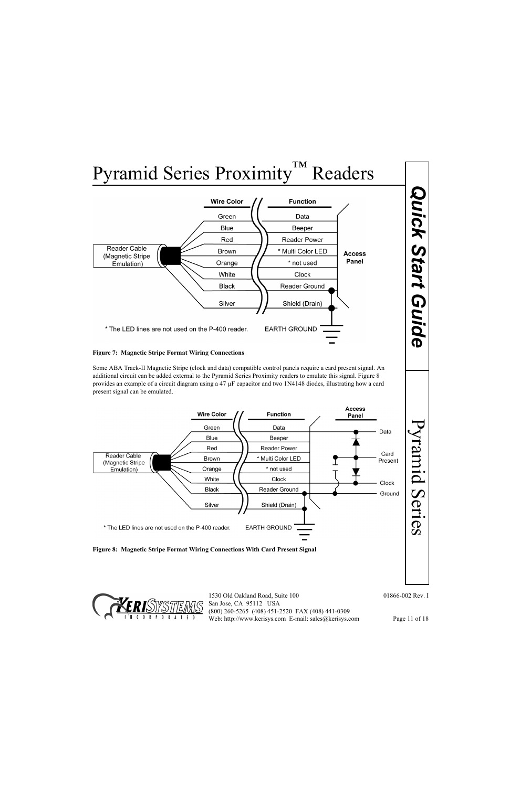

#### **Figure 7: Magnetic Stripe Format Wiring Connections**

Some ABA Track-II Magnetic Stripe (clock and data) compatible control panels require a card present signal. An additional circuit can be added external to the Pyramid Series Proximity readers to emulate this signal. [Figure 8](#page-10-0)  provides an example of a circuit diagram using a 47 µF capacitor and two 1N4148 diodes, illustrating how a card present signal can be emulated.



<span id="page-10-0"></span>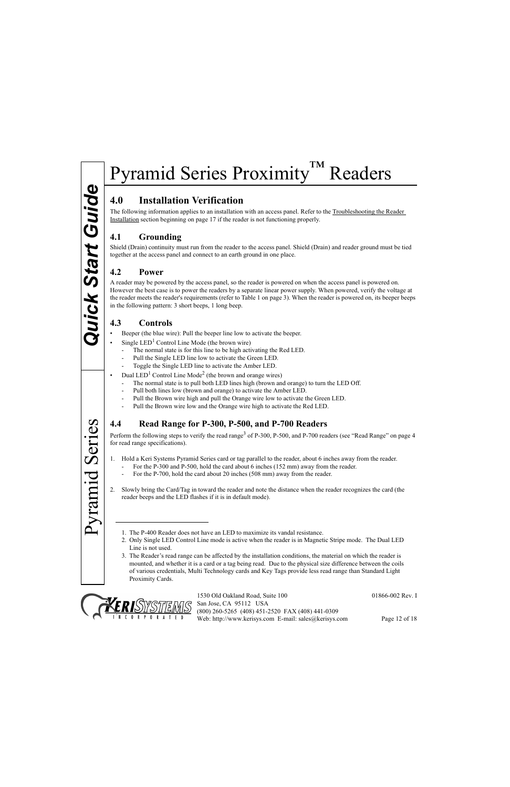## **4.0 Installation Verification**

The following information applies to an installation with an access panel. Refer to the Troubleshooting the Reader Installation section beginning on [page 17](#page-16-0) if the reader is not functioning properly.

#### **4.1 Grounding**

Shield (Drain) continuity must run from the reader to the access panel. Shield (Drain) and reader ground must be tied together at the access panel and connect to an earth ground in one place.

#### **4.2 Power**

A reader may be powered by the access panel, so the reader is powered on when the access panel is powered on. However the best case is to power the readers by a separate linear power supply. When powered, verify the voltage at the reader meets the reader's requirements (refer to Table 1 on page 3). When the reader is powered on, its beeper beeps in the following pattern: 3 short beeps, 1 long beep.

#### <span id="page-11-0"></span>**4.3 Controls**

- Beeper (the blue wire): Pull the beeper line low to activate the beeper.
- Single  $LED<sup>1</sup>$  Control Line Mode (the brown wire)
	- The normal state is for this line to be high activating the Red LED.
	- Pull the Single LED line low to activate the Green LED.
	- Toggle the Single LED line to activate the Amber LED.
- Dual  $LED<sup>1</sup>$  Control Line Mode<sup>2</sup> (the brown and orange wires)
	- The normal state is to pull both LED lines high (brown and orange) to turn the LED Off.
	- Pull both lines low (brown and orange) to activate the Amber LED.
	- Pull the Brown wire high and pull the Orange wire low to activate the Green LED.
	- Pull the Brown wire low and the Orange wire high to activate the Red LED.

#### **4.4 Read Range for P-300, P-500, and P-700 Readers**

Perform the following steps to verify the read range<sup>3</sup> of P-300, P-500, and P-700 readers (see ["Read Range" on page 4](#page-3-0) for read range specifications).

- 1. Hold a Keri Systems Pyramid Series card or tag parallel to the reader, about 6 inches away from the reader.
	- For the P-300 and P-500, hold the card about 6 inches (152 mm) away from the reader.
	- For the P-700, hold the card about 20 inches (508 mm) away from the reader.
- 2. Slowly bring the Card/Tag in toward the reader and note the distance when the reader recognizes the card (the reader beeps and the LED flashes if it is in default mode).
	- 1. The P-400 Reader does not have an LED to maximize its vandal resistance.
	- 2. Only Single LED Control Line mode is active when the reader is in Magnetic Stripe mode. The Dual LED Line is not used.
	- 3. The Reader's read range can be affected by the installation conditions, the material on which the reader is mounted, and whether it is a card or a tag being read. Due to the physical size difference between the coils of various credentials, Multi Technology cards and Key Tags provide less read range than Standard Light Proximity Cards.



Pyramid Series

Pyramid Series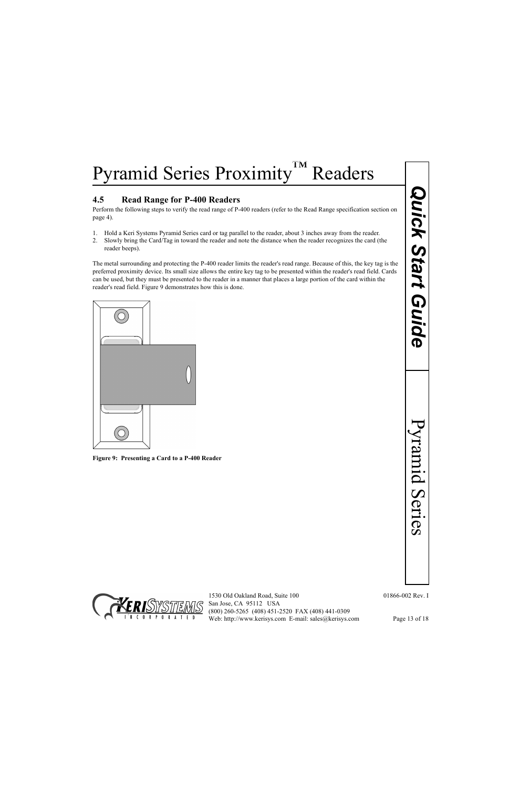#### **4.5 Read Range for P-400 Readers**

Perform the following steps to verify the read range of P-400 readers (refer to the Read Range specification section on page 4).

- 1. Hold a Keri Systems Pyramid Series card or tag parallel to the reader, about 3 inches away from the reader.
- 2. Slowly bring the Card/Tag in toward the reader and note the distance when the reader recognizes the card (the reader beeps).

Readers<br>
Image of P-400 readers (vefer to the Read Range specification section<br>
of a tag parallel to the reader; sead range. Because of this, the key tag is the<br>
ceader and note the distance when the reader's reader in a m The metal surrounding and protecting the P-400 reader limits the reader's read range. Because of this, the key tag is the preferred proximity device. Its small size allows the entire key tag to be presented within the reader's read field. Cards can be used, but they must be presented to the reader in a manner that places a large portion of the card within the reader's read field. [Figure 9](#page-12-0) demonstrates how this is done.



<span id="page-12-0"></span>**Figure 9: Presenting a Card to a P-400 Reader**

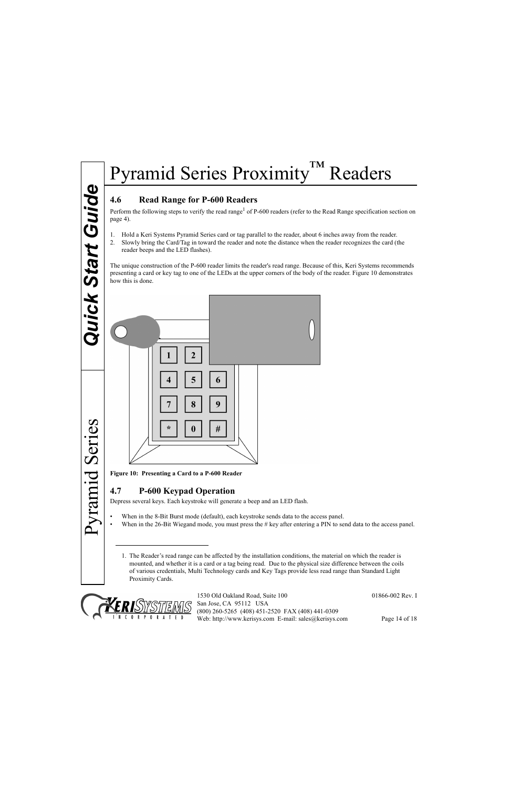#### **4.6 Read Range for P-600 Readers**

Perform the following steps to verify the read range<sup>1</sup> of P-600 readers (refer to the Read Range specification section on page 4).

- 1. Hold a Keri Systems Pyramid Series card or tag parallel to the reader, about 6 inches away from the reader.
- 2. Slowly bring the Card/Tag in toward the reader and note the distance when the reader recognizes the card (the reader beeps and the LED flashes).

The unique construction of the P-600 reader limits the reader's read range. Because of this, Keri Systems recommends presenting a card or key tag to one of the LEDs at the upper corners of the body of the reader. [Figure 10](#page-13-0) demonstrates how this is done.



<span id="page-13-0"></span>**Figure 10: Presenting a Card to a P-600 Reader**

#### **4.7 P-600 Keypad Operation**

Depress several keys. Each keystroke will generate a beep and an LED flash.

- When in the 8-Bit Burst mode (default), each keystroke sends data to the access panel.
- When in the 26-Bit Wiegand mode, you must press the # key after entering a PIN to send data to the access panel.
	- 1. The Reader's read range can be affected by the installation conditions, the material on which the reader is mounted, and whether it is a card or a tag being read. Due to the physical size difference between the coils of various credentials, Multi Technology cards and Key Tags provide less read range than Standard Light Proximity Cards.



1530 Old Oakland Road, Suite 100 01866-002 Rev. I San Jose, CA 95112 USA (800) 260-5265 (408) 451-2520 FAX (408) 441-0309 Web: http://www.kerisys.com E-mail: sales@kerisys.com Page 14 of 18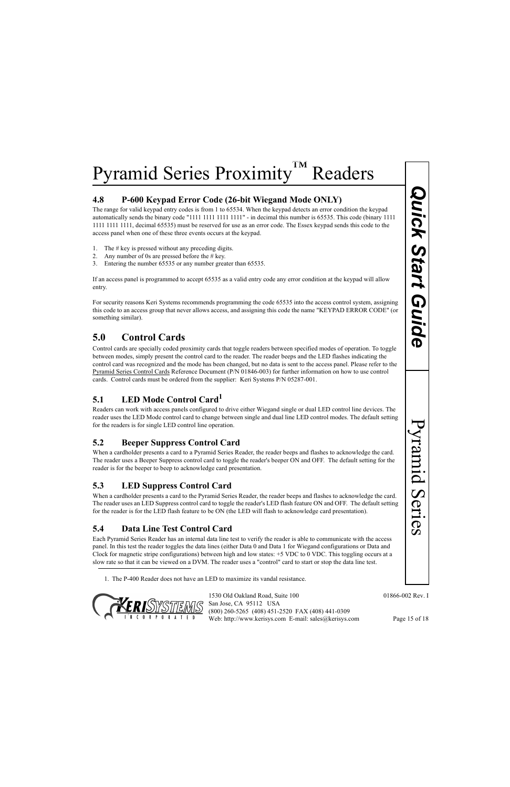#### **4.8 P-600 Keypad Error Code (26-bit Wiegand Mode ONLY)**

The range for valid keypad entry codes is from 1 to 65534. When the keypad detects an error condition the keypad automatically sends the binary code "1111 1111 1111 1111" - in decimal this number is 65535. This code (binary 1111 1111 1111 1111, decimal 65535) must be reserved for use as an error code. The Essex keypad sends this code to the access panel when one of these three events occurs at the keypad.

- 1. The  $# \text{key}$  is pressed without any preceding digits.
- 2. Any number of 0s are pressed before the  $\#$  key.
- 3. Entering the number 65535 or any number greater than 65535.

If an access panel is programmed to accept 65535 as a valid entry code any error condition at the keypad will allow entry.

For security reasons Keri Systems recommends programming the code 65535 into the access control system, assigning this code to an access group that never allows access, and assigning this code the name "KEYPAD ERROR CODE" (or something similar).

## **5.0 Control Cards**

**Ode (26-bit Wiegand Mode ONLY)**<br>
The 10:6534. When the logopal denotes an enero condition the keypad<br>
11 1111 1111 - In decimal this mumber is 65535. This code (binary 1111<br>
The U-May increase as an error code. The Easex Control cards are specially coded proximity cards that toggle readers between specified modes of operation. To toggle between modes, simply present the control card to the reader. The reader beeps and the LED flashes indicating the control card was recognized and the mode has been changed, but no data is sent to the access panel. Please refer to the Pyramid Series Control Cards Reference Document (P/N 01846-003) for further information on how to use control cards. Control cards must be ordered from the supplier: Keri Systems P/N 05287-001.

#### **5.1 LED Mode Control Card1**

Readers can work with access panels configured to drive either Wiegand single or dual LED control line devices. The reader uses the LED Mode control card to change between single and dual line LED control modes. The default setting for the readers is for single LED control line operation.

#### **5.2 Beeper Suppress Control Card**

When a cardholder presents a card to a Pyramid Series Reader, the reader beeps and flashes to acknowledge the card. The reader uses a Beeper Suppress control card to toggle the reader's beeper ON and OFF. The default setting for the reader is for the beeper to beep to acknowledge card presentation.

#### **5.3 LED Suppress Control Card**

When a cardholder presents a card to the Pyramid Series Reader, the reader beeps and flashes to acknowledge the card. The reader uses an LED Suppress control card to toggle the reader's LED flash feature ON and OFF. The default setting for the reader is for the LED flash feature to be ON (the LED will flash to acknowledge card presentation).

#### **5.4 Data Line Test Control Card**

Each Pyramid Series Reader has an internal data line test to verify the reader is able to communicate with the access panel. In this test the reader toggles the data lines (either Data 0 and Data 1 for Wiegand configurations or Data and Clock for magnetic stripe configurations) between high and low states: +5 VDC to 0 VDC. This toggling occurs at a slow rate so that it can be viewed on a DVM. The reader uses a "control" card to start or stop the data line test.

1. The P-400 Reader does not have an LED to maximize its vandal resistance.

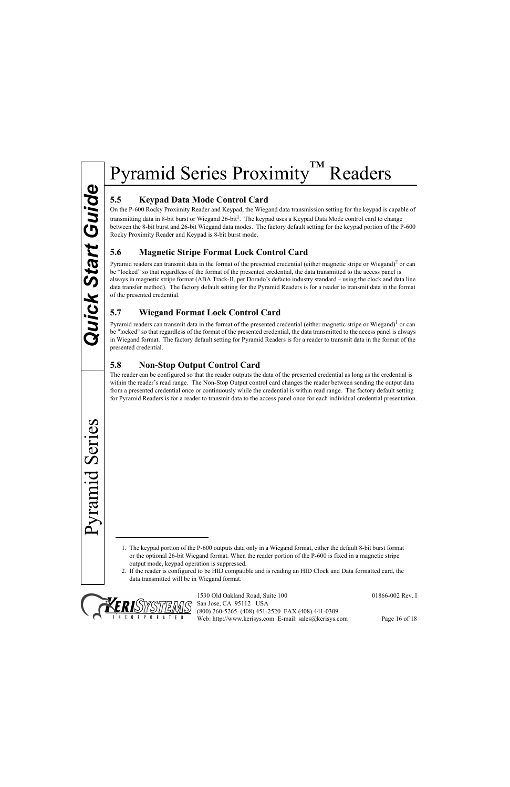## **5.5 Keypad Data Mode Control Card**

On the P-600 Rocky Proximity Reader and Keypad, the Wiegand data transmission setting for the keypad is capable of transmitting data in 8-bit burst or Wiegand 26-bit<sup>1</sup>. The keypad uses a Keypad Data Mode control card to change between the 8-bit burst and 26-bit Wiegand data modes. The factory default setting for the keypad portion of the P-600 Rocky Proximity Reader and Keypad is 8-bit burst mode.

#### **5.6 Magnetic Stripe Format Lock Control Card**

Pyramid readers can transmit data in the format of the presented credential (either magnetic stripe or Wiegand)<sup>2</sup> or can be "locked" so that regardless of the format of the presented credential, the data transmitted to the access panel is always in magnetic stripe format (ABA Track-II, per Dorado's defacto industry standard – using the clock and data line data transfer method). The factory default setting for the Pyramid Readers is for a reader to transmit data in the format of the presented credential.

#### **5.7 Wiegand Format Lock Control Card**

Pyramid readers can transmit data in the format of the presented credential (either magnetic stripe or Wiegand)<sup>1</sup> or can be "locked" so that regardless of the format of the presented credential, the data transmitted to the access panel is always in Wiegand format. The factory default setting for Pyramid Readers is for a reader to transmit data in the format of the presented credential.

#### **5.8 Non-Stop Output Control Card**

The reader can be configured so that the reader outputs the data of the presented credential as long as the credential is within the reader's read range. The Non-Stop Output control card changes the reader between sending the output data from a presented credential once or continuously while the credential is within read range. The factory default setting for Pyramid Readers is for a reader to transmit data to the access panel once for each individual credential presentation.

1. The keypad portion of the P-600 outputs data only in a Wiegand format, either the default 8-bit burst format or the optional 26-bit Wiegand format. When the reader portion of the P-600 is fixed in a magnetic stripe output mode, keypad operation is suppressed.

2. If the reader is configured to be HID compatible and is reading an HID Clock and Data formatted card, the data transmitted will be in Wiegand format.



1530 Old Oakland Road, Suite 100 01866-002 Rev. I San Jose, CA 95112 USA (800) 260-5265 (408) 451-2520 FAX (408) 441-0309 Web: http://www.kerisys.com E-mail: sales@kerisys.com Page 16 of 18

Pyramid Series

Pyramid Series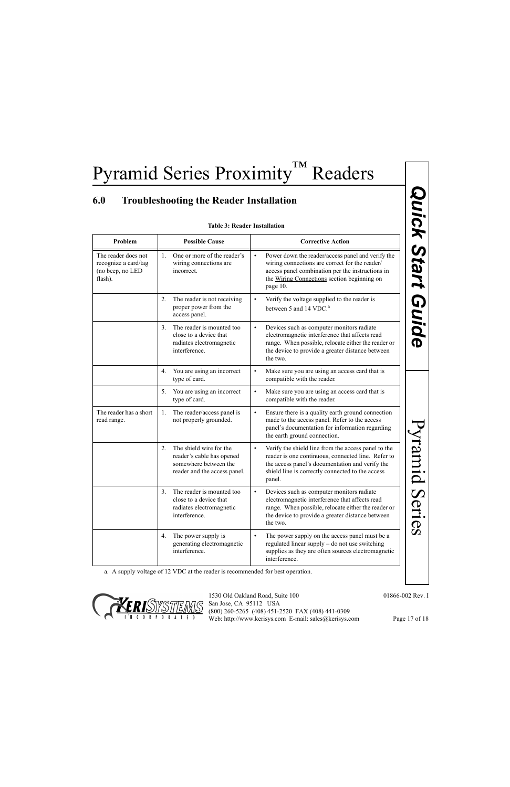## <span id="page-16-0"></span>**6.0 Troubleshooting the Reader Installation**

#### **Table 3: Reader Installation**

| Problem<br><b>Possible Cause</b><br><b>Corrective Action</b>               |                                                                                                                              |                                                                                                                                                                                                                                         |  |
|----------------------------------------------------------------------------|------------------------------------------------------------------------------------------------------------------------------|-----------------------------------------------------------------------------------------------------------------------------------------------------------------------------------------------------------------------------------------|--|
| The reader does not<br>recognize a card/tag<br>(no beep, no LED<br>flash). | One or more of the reader's<br>$1_{-}$<br>wiring connections are<br>incorrect.                                               | Power down the reader/access panel and verify the<br>$\bullet$<br>wiring connections are correct for the reader/<br>access panel combination per the instructions in<br>the Wiring Connections section beginning on<br>page 10.         |  |
|                                                                            | 2.<br>The reader is not receiving<br>proper power from the<br>access panel.                                                  | Verify the voltage supplied to the reader is<br>$\bullet$<br>between 5 and 14 VDC. <sup>a</sup>                                                                                                                                         |  |
|                                                                            | The reader is mounted too<br>3 <sub>1</sub><br>close to a device that<br>radiates electromagnetic<br>interference.           | Devices such as computer monitors radiate<br>$\bullet$<br>electromagnetic interference that affects read<br>range. When possible, relocate either the reader or<br>the device to provide a greater distance between<br>the two.         |  |
|                                                                            | You are using an incorrect<br>4.<br>type of card.                                                                            | Make sure you are using an access card that is<br>$\bullet$<br>compatible with the reader.                                                                                                                                              |  |
|                                                                            | You are using an incorrect<br>5.<br>type of card.                                                                            | Make sure you are using an access card that is<br>$\bullet$<br>compatible with the reader.                                                                                                                                              |  |
| The reader has a short<br>read range.                                      | The reader/access panel is<br>1.<br>not properly grounded.                                                                   | Ensure there is a quality earth ground connection<br>$\bullet$<br>made to the access panel. Refer to the access<br>panel's documentation for information regarding<br>the earth ground connection.                                      |  |
|                                                                            | The shield wire for the<br>$2_{\cdot}$<br>reader's cable has opened<br>somewhere between the<br>reader and the access panel. | Verify the shield line from the access panel to the<br>$\bullet$<br>reader is one continuous, connected line. Refer to<br>the access panel's documentation and verify the<br>shield line is correctly connected to the access<br>panel. |  |
|                                                                            | The reader is mounted too<br>3 <sub>1</sub><br>close to a device that<br>radiates electromagnetic<br>interference.           | Devices such as computer monitors radiate<br>$\bullet$<br>electromagnetic interference that affects read<br>range. When possible, relocate either the reader or<br>the device to provide a greater distance between<br>the two.         |  |
|                                                                            | The power supply is<br>4.<br>generating electromagnetic<br>interference.                                                     | The power supply on the access panel must be a<br>$\bullet$<br>regulated linear supply – do not use switching<br>supplies as they are often sources electromagnetic<br>interference.                                                    |  |